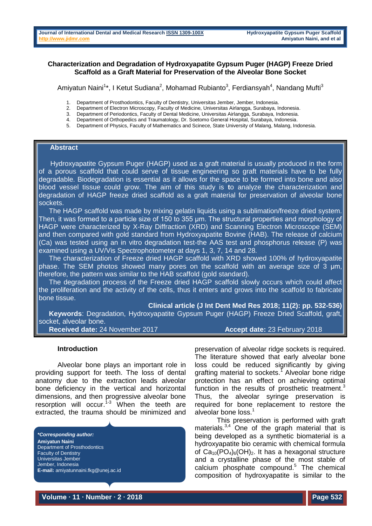## **Characterization and Degradation of Hydroxyapatite Gypsum Puger (HAGP) Freeze Dried Scaffold as a Graft Material for Preservation of the Alveolar Bone Socket**

Amiyatun Naini<sup>1\*</sup>, I Ketut Sudiana<sup>2</sup>, Mohamad Rubianto<sup>3</sup>, Ferdiansyah<sup>4</sup>, Nandang Mufti<sup>3</sup>

- 1. Department of Prosthodontics, Faculty of Dentistry, Universitas Jember, Jember, Indonesia.<br>2. Department of Electron Microscopy, Faculty of Medicine, Universitas Airlangga, Surabaya, Ir
- 2. Department of Electron Microscopy, Faculty of Medicine, Universitas Airlangga, Surabaya, Indonesia.
- 3. Department of Periodontics, Faculty of Dental Medicine, Universitas Airlangga, Surabaya, Indonesia.
- 4. Department of Orthopedics and Traumatology, Dr. Soetomo General Hospital, Surabaya, Indonesia.
- 5. Department of Physics, Faculty of Mathematics and Scinece, State University of Malang, Malang, Indonesia.

## **Abstract**

 Hydroxyapatite Gypsum Puger (HAGP) used as a graft material is usually produced in the form of a porous scaffold that could serve of tissue engineering so graft materials have to be fully degradable. Biodegradation is essential as it allows for the space to be formed into bone and also blood vessel tissue could grow. The aim of this study is **t**o analyze the characterization and degradation of HAGP freeze dried scaffold as a graft material for preservation of alveolar bone sockets.

The HAGP scaffold was made by mixing gelatin liquids using a sublimation/freeze dried system. Then, it was formed to a particle size of 150 to 355 μm. The structural properties and morphology of HAGP were characterized by X-Ray Diffraction (XRD) and Scanning Electron Microscope (SEM) and then compared with gold standard from Hydroxyapatite Bovine (HAB). The release of calcium (Ca) was tested using an in vitro degradation test-the AAS test and phosphorus release (P) was examined using a UV/Vis Spectrophotometer at days 1, 3, 7, 14 and 28.

The characterization of Freeze dried HAGP scaffold with XRD showed 100% of hydroxyapatite phase. The SEM photos showed many pores on the scaffold with an average size of 3 μm, therefore, the pattern was similar to the HAB scaffold (gold standard).

The degradation process of the Freeze dried HAGP scaffold slowly occurs which could affect the proliferation and the activity of the cells, thus it enters and grows into the scaffold to fabricate bone tissue.

**Clinical article (J Int Dent Med Res 2018; 11(2): pp. 532-536)** 

**Keywords**: Degradation, Hydroxyapatite Gypsum Puger (HAGP) Freeze Dried Scaffold, graft, socket, alveolar bone.

**Received date:** 24 November 2017 **Accept date:** 23 February 2018

#### **Introduction**

Alveolar bone plays an important role in providing support for teeth. The loss of dental anatomy due to the extraction leads alveolar bone deficiency in the vertical and horizontal dimensions, and then progressive alveolar bone resorption will occur.<sup>1-3</sup> When the teeth are extracted, the trauma should be minimized and

*\*Corresponding author:* **Amiyatun Naini** Department of Prosthodontics Faculty of Dentistry Universitas Jember Jember, Indonesia **E-mail:** amiyatunnaini.fkg@unej.ac.id preservation of alveolar ridge sockets is required. The literature showed that early alveolar bone loss could be reduced significantly by giving grafting material to sockets.<sup>1</sup> Alveolar bone ridge protection has an effect on achieving optimal function in the results of prosthetic treatment.<sup>3</sup> Thus, the alveolar syringe preservation is required for bone replacement to restore the alveolar bone loss. 1

This preservation is performed with graft materials. $3,4$  One of the graph material that is being developed as a synthetic biomaterial is a hydroxyapatite bio ceramic with chemical formula of  $Ca_{10}(PO_4)_{6}(OH)_{2}$ . It has a hexagonal structure and a crystalline phase of the most stable of calcium phosphate compound. <sup>5</sup> The chemical composition of hydroxyapatite is similar to the

**Volume ∙ 11 ∙ Number ∙ 2 ∙ 2018 Page 532**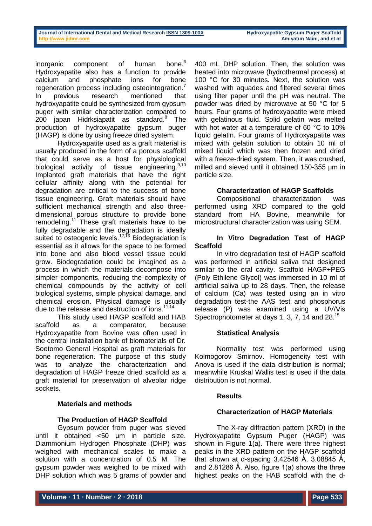inorganic component of human bone.<sup>6</sup> Hydroxyapatite also has a function to provide calcium and phosphate ions for bone regeneration process including osteointegration.<sup>7</sup> In previous research mentioned that hydroxyapatite could be synthesized from gypsum puger with similar characterization compared to 200 japan Hidrksiapatit as standard.<sup>8</sup> The production of hydroxyapatite gypsum puger (HAGP) is done by using freeze dried system.

Hydroxyapatite used as a graft material is usually produced in the form of a porous scaffold that could serve as a host for physiological biological activity of tissue engineering.<sup>9,10</sup> Implanted graft materials that have the right cellular affinity along with the potential for degradation are critical to the success of bone tissue engineering. Graft materials should have sufficient mechanical strength and also threedimensional porous structure to provide bone remodeling.<sup>11</sup> These graft materials have to be fully degradable and the degradation is ideally suited to osteogenic levels.<sup>12,13</sup> Biodegradation is essential as it allows for the space to be formed into bone and also blood vessel tissue could grow. Biodegradation could be imagined as a process in which the materials decompose into simpler components, reducing the complexity of chemical compounds by the activity of cell biological systems, simple physical damage, and chemical erosion. Physical damage is usually due to the release and destruction of ions.<sup>11,14</sup>

This study used HAGP scaffold and HAB scaffold as a comparator, because Hydroxyapatite from Bovine was often used in the central installation bank of biomaterials of Dr. Soetomo General Hospital as graft materials for bone regeneration. The purpose of this study was to analyze the characterization and degradation of HAGP freeze dried scaffold as a graft material for preservation of alveolar ridge sockets.

## **Materials and methods**

# **The Production of HAGP Scaffold**

Gypsum powder from puger was sieved until it obtained <50 μm in particle size. Diammonium Hydrogen Phosphate (DHP) was weighed with mechanical scales to make a solution with a concentration of 0.5 M. The gypsum powder was weighed to be mixed with DHP solution which was 5 grams of powder and

400 mL DHP solution. Then, the solution was heated into microwave (hydrothermal process) at 100 °C for 30 minutes. Next, the solution was washed with aquades and filtered several times using filter paper until the pH was neutral. The powder was dried by microwave at 50 °C for 5 hours. Four grams of hydroxyapatite were mixed with gelatinous fluid. Solid gelatin was melted with hot water at a temperature of 60 °C to 10% liquid gelatin. Four grams of Hydroxyapatite was mixed with gelatin solution to obtain 10 ml of mixed liquid which was then frozen and dried with a freeze-dried system. Then, it was crushed, milled and sieved until it obtained 150-355 μm in particle size.

# **Characterization of HAGP Scaffolds**

Compositional characterization was performed using XRD compared to the gold standard from HA Bovine, meanwhile for microstructural characterization was using SEM.

## **In Vitro Degradation Test of HAGP Scaffold**

In vitro degradation test of HAGP scaffold was performed in artificial saliva that designed similar to the oral cavity. Scaffold HAGP+PEG (Poly Ethilene Glycol) was immersed in 10 ml of artificial saliva up to 28 days. Then, the release of calcium (Ca) was tested using an in vitro degradation test-the AAS test and phosphorus release (P) was examined using a UV/Vis Spectrophotometer at days 1, 3, 7, 14 and 28.<sup>15</sup>

## **Statistical Analysis**

Normality test was performed using Kolmogorov Smirnov. Homogeneity test with Anova is used if the data distribution is normal; meanwhile Kruskal Wallis test is used if the data distribution is not normal.

## **Results**

# **Characterization of HAGP Materials**

The X-ray diffraction pattern (XRD) in the Hydroxyapatite Gypsum Puger (HAGP) was shown in Figure 1(a). There were three highest peaks in the XRD pattern on the HAGP scaffold that shown at d-spacing  $3.42546$  Å,  $3.08845$  Å, and 2.81286 Å. Also, figure 1(a) shows the three highest peaks on the HAB scaffold with the d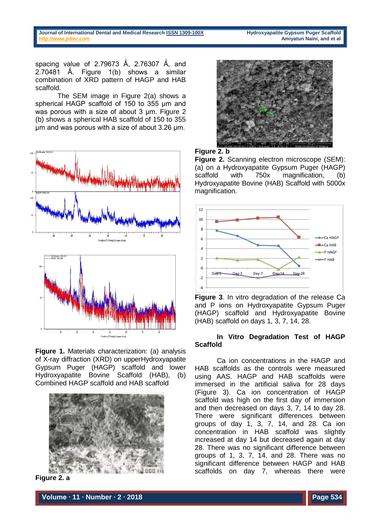spacing value of 2.79673 Å, 2.76307 Å, and 2.70481 Å. Figure  $1(b)$  shows a similar combination of XRD pattern of HAGP and HAB scaffold.

The SEM image in Figure 2(a) shows a spherical HAGP scaffold of 150 to 355 μm and was porous with a size of about 3 μm. Figure 2 (b) shows a spherical HAB scaffold of 150 to 355 μm and was porous with a size of about 3.26 μm.



**Figure 1.** Materials characterization: (a) analysis of X-ray diffraction (XRD) on upperHydroxyapatite Gypsum Puger (HAGP) scaffold and lower Hydroxyapatite Bovine Scaffold (HAB), (b) Combined HAGP scaffold and HAB scaffold



**Figure 2. a**



#### **Figure 2. b**

**Figure 2.** Scanning electron microscope (SEM): (a) on a Hydroxyapatite Gypsum Puger (HAGP) scaffold with 750x magnification. (b) Hydroxyapatite Bovine (HAB) Scaffold with 5000x magnification.



**Figure 3**. In vitro degradation of the release Ca and P ions on Hydroxyapatite Gypsum Puger (HAGP) scaffold and Hydroxyapatite Bovine (HAB) scaffold on days 1, 3, 7, 14, 28.

## **In Vitro Degradation Test of HAGP Scaffold**

Ca ion concentrations in the HAGP and HAB scaffolds as the controls were measured using AAS. HAGP and HAB scaffolds were immersed in the artificial saliva for 28 days (Figure 3). Ca ion concentration of HAGP scaffold was high on the first day of immersion and then decreased on days 3, 7, 14 to day 28. There were significant differences between groups of day 1, 3, 7, 14, and 28. Ca ion concentration in HAB scaffold was slightly increased at day 14 but decreased again at day 28. There was no significant difference between groups of 1, 3, 7, 14, and 28. There was no significant difference between HAGP and HAB scaffolds on day 7, whereas there were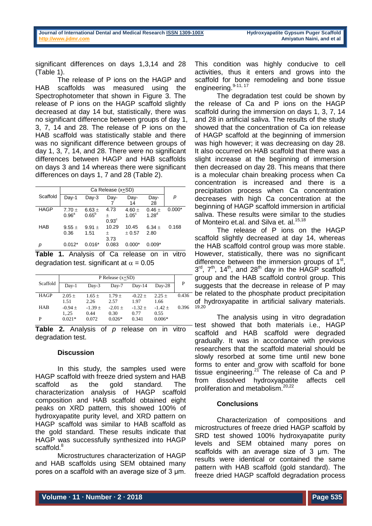significant differences on days 1,3,14 and 28 (Table 1).

The release of P ions on the HAGP and HAB scaffolds was measured using the Spectrophotometer that shown in Figure 3. The release of P ions on the HAGP scaffold slightly decreased at day 14 but, statistically, there was no significant difference between groups of day 1, 3, 7, 14 and 28. The release of P ions on the HAB scaffold was statistically stable and there was no significant difference between groups of day 1, 3, 7, 14, and 28. There were no significant differences between HAGP and HAB scaffolds on days 3 and 14 whereas there were significant differences on days 1, 7 and 28 (Table 2).

|             | Ca Release (x+SD) |                |                   |                |            |          |  |
|-------------|-------------------|----------------|-------------------|----------------|------------|----------|--|
| Scaffold    | Dav-1             | $Day-3$        | Day-              | Day-           | Day-       | р        |  |
|             |                   |                |                   | 14             | 28         |          |  |
| <b>HAGP</b> | $7.70 \pm$        | 6.63 $\pm$     | 4.73              | 4.60 $\pm$     | $0.46 \pm$ | $0.000*$ |  |
|             | 0.96 <sup>a</sup> | $0.65^{\rm b}$ | 土                 | $1.05^{\circ}$ | $1.28^{d}$ |          |  |
|             |                   |                | 0.93 <sup>c</sup> |                |            |          |  |
| <b>HAB</b>  | $9.55 \pm$        | 9.91 $\pm$     | 10.29             | 10.45          | $6.34 +$   | 0.168    |  |
|             | 0.36              | 1.51           | 土                 | ± 0.57         | 2.80       |          |  |
|             |                   |                | 3.73              |                |            |          |  |
| р           | $0.012*$          | $0.016*$       | 0.083             | $0.000*$       | $0.009*$   |          |  |

**Table 1.** Analysis of Ca release on in vitro degradation test. significant at  $\alpha = 0.05$ 

| Scaffold    | P Release $(x+SD)$ |                   |           |           |           |       |
|-------------|--------------------|-------------------|-----------|-----------|-----------|-------|
|             | $Dav-1$            | $_{\text{Dav-3}}$ | Day-7     | $Day-14$  | $Day-28$  | P     |
| <b>HAGP</b> | $2.05 +$           | $1.65 +$          | $1.79 +$  | $-0.22 +$ | $2.25 +$  | 0.436 |
|             | 1.51               | 2.26              | 2.57      | 1.97      | 1.66      |       |
| <b>HAB</b>  | $-0.94 +$          | $-1.39 \pm 1.39$  | $-2.01 +$ | $-1.32 +$ | $-1.42 +$ | 0.396 |
|             | 125                | 0.44              | 0.30      | 0.77      | 0.55      |       |
| P           | $0.021*$           | 0.072             | $0.026*$  | 0.341     | $0.006*$  |       |

**Table 2.** Analysis of *p* release on in vitro degradation test.

#### **Discussion**

In this study, the samples used were HAGP scaffold with freeze dried system and HAB scaffold as the gold standard. The characterization analysis of HAGP scaffold composition and HAB scaffold obtained eight peaks on XRD pattern, this showed 100% of hydroxyapatite purity level, and XRD pattern on HAGP scaffold was similar to HAB scaffold as the gold standard. These results indicate that HAGP was successfully synthesized into HAGP scaffold.<sup>8</sup>

Microstructures characterization of HAGP and HAB scaffolds using SEM obtained many pores on a scaffold with an average size of 3 μm.

This condition was highly conducive to cell activities, thus it enters and grows into the scaffold for bone remodeling and bone tissue engineering. 9-11, 17

The degradation test could be shown by the release of Ca and P ions on the HAGP scaffold during the immersion on days 1, 3, 7, 14 and 28 in artificial saliva. The results of the study showed that the concentration of Ca ion release of HAGP scaffold at the beginning of immersion was high however; it was decreasing on day 28. It also occurred on HAB scaffold that there was a slight increase at the beginning of immersion then decreased on day 28. This means that there is a molecular chain breaking process when Ca concentration is increased and there is a precipitation process when Ca concentration decreases with high Ca concentration at the beginning of HAGP scaffold immersion in artificial saliva. These results were similar to the studies of Monteiro et.al. and Silva et. al.<sup>15,18</sup>

The release of P ions on the HAGP scaffold slightly decreased at day 14, whereas the HAB scaffold control group was more stable. However, statistically, there was no significant difference between the immersion groups of  $1<sup>st</sup>$ ,  $3<sup>rd</sup>$ ,  $7<sup>th</sup>$ ,  $14<sup>th</sup>$ , and  $28<sup>th</sup>$  day in the HAGP scaffold group and the HAB scaffold control group. This suggests that the decrease in release of P may be related to the phosphate product precipitation of hydroxyapatite in artificial salivary materials. 19,20

The analysis using in vitro degradation test showed that both materials i.e., HAGP scaffold and HAB scaffold were degraded gradually. It was in accordance with previous researchers that the scaffold material should be slowly resorbed at some time until new bone forms to enter and grow with scaffold for bone tissue engineering.<sup>21</sup> The release of Ca and P from dissolved hydroxyapatite affects cell proliferation and metabolism. 20,22

## **Conclusions**

Characterization of compositions and microstructures of freeze dried HAGP scaffold by SRD test showed 100% hydroxyapatite purity levels and SEM obtained many pores on scaffolds with an average size of 3 um. The results were identical or contained the same pattern with HAB scaffold (gold standard). The freeze dried HAGP scaffold degradation process